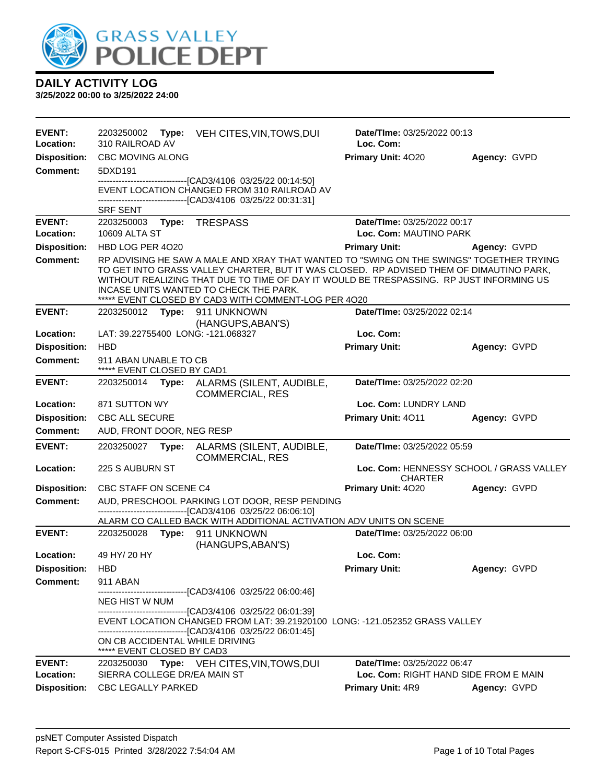

| <b>EVENT:</b><br>Location: | 2203250002<br>Type:<br>310 RAILROAD AV                                                                | VEH CITES, VIN, TOWS, DUI                                                                                                                                                                                                                                                                                                                                                       | Date/TIme: 03/25/2022 00:13<br>Loc. Com:                             |              |  |
|----------------------------|-------------------------------------------------------------------------------------------------------|---------------------------------------------------------------------------------------------------------------------------------------------------------------------------------------------------------------------------------------------------------------------------------------------------------------------------------------------------------------------------------|----------------------------------------------------------------------|--------------|--|
| <b>Disposition:</b>        | <b>CBC MOVING ALONG</b>                                                                               |                                                                                                                                                                                                                                                                                                                                                                                 | Primary Unit: 4020                                                   | Agency: GVPD |  |
| Comment:                   | 5DXD191                                                                                               |                                                                                                                                                                                                                                                                                                                                                                                 |                                                                      |              |  |
|                            | <b>SRF SENT</b>                                                                                       | --------------------------------[CAD3/4106 03/25/22 00:14:50]<br>EVENT LOCATION CHANGED FROM 310 RAILROAD AV<br>--------------------------------[CAD3/4106 03/25/22 00:31:31]                                                                                                                                                                                                   |                                                                      |              |  |
| <b>EVENT:</b>              | 2203250003                                                                                            | Type: TRESPASS                                                                                                                                                                                                                                                                                                                                                                  | Date/TIme: 03/25/2022 00:17                                          |              |  |
| Location:                  | 10609 ALTA ST                                                                                         |                                                                                                                                                                                                                                                                                                                                                                                 | Loc. Com: MAUTINO PARK                                               |              |  |
| <b>Disposition:</b>        | HBD LOG PER 4020                                                                                      |                                                                                                                                                                                                                                                                                                                                                                                 | <b>Primary Unit:</b>                                                 | Agency: GVPD |  |
| <b>Comment:</b>            |                                                                                                       | RP ADVISING HE SAW A MALE AND XRAY THAT WANTED TO "SWING ON THE SWINGS" TOGETHER TRYING<br>TO GET INTO GRASS VALLEY CHARTER, BUT IT WAS CLOSED. RP ADVISED THEM OF DIMAUTINO PARK,<br>WITHOUT REALIZING THAT DUE TO TIME OF DAY IT WOULD BE TRESPASSING. RP JUST INFORMING US<br>INCASE UNITS WANTED TO CHECK THE PARK.<br>***** EVENT CLOSED BY CAD3 WITH COMMENT-LOG PER 4020 |                                                                      |              |  |
| <b>EVENT:</b>              | 2203250012                                                                                            | Type: 911 UNKNOWN                                                                                                                                                                                                                                                                                                                                                               | Date/TIme: 03/25/2022 02:14                                          |              |  |
|                            |                                                                                                       | (HANGUPS, ABAN'S)                                                                                                                                                                                                                                                                                                                                                               |                                                                      |              |  |
| Location:                  | LAT: 39.22755400 LONG: -121.068327                                                                    |                                                                                                                                                                                                                                                                                                                                                                                 | Loc. Com:                                                            |              |  |
| <b>Disposition:</b>        | <b>HBD</b>                                                                                            |                                                                                                                                                                                                                                                                                                                                                                                 | <b>Primary Unit:</b>                                                 | Agency: GVPD |  |
| Comment:                   | 911 ABAN UNABLE TO CB<br>***** EVENT CLOSED BY CAD1                                                   |                                                                                                                                                                                                                                                                                                                                                                                 |                                                                      |              |  |
| <b>EVENT:</b>              | Date/TIme: 03/25/2022 02:20<br>2203250014<br>Type: ALARMS (SILENT, AUDIBLE,<br><b>COMMERCIAL, RES</b> |                                                                                                                                                                                                                                                                                                                                                                                 |                                                                      |              |  |
| Location:                  | 871 SUTTON WY<br>Loc. Com: LUNDRY LAND                                                                |                                                                                                                                                                                                                                                                                                                                                                                 |                                                                      |              |  |
| <b>Disposition:</b>        | <b>CBC ALL SECURE</b>                                                                                 |                                                                                                                                                                                                                                                                                                                                                                                 | Primary Unit: 4011                                                   | Agency: GVPD |  |
| <b>Comment:</b>            | AUD, FRONT DOOR, NEG RESP                                                                             |                                                                                                                                                                                                                                                                                                                                                                                 |                                                                      |              |  |
| <b>EVENT:</b>              | 2203250027<br>Type:                                                                                   | ALARMS (SILENT, AUDIBLE,<br><b>COMMERCIAL, RES</b>                                                                                                                                                                                                                                                                                                                              | Date/TIme: 03/25/2022 05:59                                          |              |  |
| Location:                  | 225 S AUBURN ST                                                                                       |                                                                                                                                                                                                                                                                                                                                                                                 | Loc. Com: HENNESSY SCHOOL / GRASS VALLEY<br><b>CHARTER</b>           |              |  |
| <b>Disposition:</b>        | CBC STAFF ON SCENE C4                                                                                 |                                                                                                                                                                                                                                                                                                                                                                                 | Primary Unit: 4020                                                   | Agency: GVPD |  |
| <b>Comment:</b>            |                                                                                                       | AUD, PRESCHOOL PARKING LOT DOOR, RESP PENDING                                                                                                                                                                                                                                                                                                                                   |                                                                      |              |  |
|                            |                                                                                                       | --------------------------------[CAD3/4106 03/25/22 06:06:10]<br>ALARM CO CALLED BACK WITH ADDITIONAL ACTIVATION ADV UNITS ON SCENE                                                                                                                                                                                                                                             |                                                                      |              |  |
| <b>EVENT:</b>              | 2203250028 Type: 911 UNKNOWN                                                                          |                                                                                                                                                                                                                                                                                                                                                                                 | Date/TIme: 03/25/2022 06:00                                          |              |  |
|                            |                                                                                                       | (HANGUPS, ABAN'S)                                                                                                                                                                                                                                                                                                                                                               |                                                                      |              |  |
| Location:                  | 49 HY/ 20 HY                                                                                          |                                                                                                                                                                                                                                                                                                                                                                                 | Loc. Com:                                                            |              |  |
| <b>Disposition:</b>        | <b>HBD</b>                                                                                            |                                                                                                                                                                                                                                                                                                                                                                                 | <b>Primary Unit:</b>                                                 | Agency: GVPD |  |
| Comment:                   | 911 ABAN                                                                                              |                                                                                                                                                                                                                                                                                                                                                                                 |                                                                      |              |  |
|                            | NEG HIST W NUM                                                                                        | --------------------------[CAD3/4106_03/25/22_06:00:46]                                                                                                                                                                                                                                                                                                                         |                                                                      |              |  |
|                            | ON CB ACCIDENTAL WHILE DRIVING<br>***** EVENT CLOSED BY CAD3                                          | --------------------------------[CAD3/4106 03/25/22 06:01:39]<br>EVENT LOCATION CHANGED FROM LAT: 39.21920100 LONG: -121.052352 GRASS VALLEY<br>-------------------------------[CAD3/4106 03/25/22 06:01:45]                                                                                                                                                                    |                                                                      |              |  |
| <b>EVENT:</b><br>Location: | 2203250030<br>SIERRA COLLEGE DR/EA MAIN ST                                                            | Type: VEH CITES, VIN, TOWS, DUI                                                                                                                                                                                                                                                                                                                                                 | Date/TIme: 03/25/2022 06:47<br>Loc. Com: RIGHT HAND SIDE FROM E MAIN |              |  |
| <b>Disposition:</b>        | <b>CBC LEGALLY PARKED</b>                                                                             |                                                                                                                                                                                                                                                                                                                                                                                 | <b>Primary Unit: 4R9</b>                                             | Agency: GVPD |  |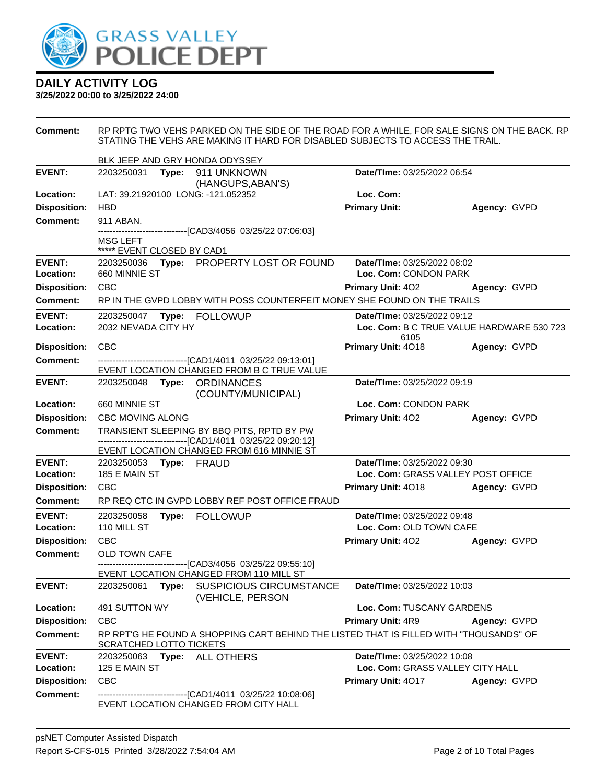

| <b>Comment:</b>            | RP RPTG TWO VEHS PARKED ON THE SIDE OF THE ROAD FOR A WHILE, FOR SALE SIGNS ON THE BACK. RP<br>STATING THE VEHS ARE MAKING IT HARD FOR DISABLED SUBJECTS TO ACCESS THE TRAIL. |       |                                                                                                           |                                                      |                                           |  |  |
|----------------------------|-------------------------------------------------------------------------------------------------------------------------------------------------------------------------------|-------|-----------------------------------------------------------------------------------------------------------|------------------------------------------------------|-------------------------------------------|--|--|
|                            | BLK JEEP AND GRY HONDA ODYSSEY                                                                                                                                                |       |                                                                                                           |                                                      |                                           |  |  |
| <b>EVENT:</b>              | 2203250031                                                                                                                                                                    |       | Type: 911 UNKNOWN<br>(HANGUPS, ABAN'S)                                                                    | Date/TIme: 03/25/2022 06:54                          |                                           |  |  |
| Location:                  | LAT: 39.21920100 LONG: -121.052352                                                                                                                                            |       |                                                                                                           | Loc. Com:                                            |                                           |  |  |
| <b>Disposition:</b>        | <b>HBD</b>                                                                                                                                                                    |       |                                                                                                           | <b>Primary Unit:</b>                                 | Agency: GVPD                              |  |  |
| <b>Comment:</b>            | 911 ABAN.                                                                                                                                                                     |       |                                                                                                           |                                                      |                                           |  |  |
|                            | MSG LEFT<br>***** EVENT CLOSED BY CAD1                                                                                                                                        |       | -------------------------------[CAD3/4056 03/25/22 07:06:03]                                              |                                                      |                                           |  |  |
| <b>EVENT:</b><br>Location: | 2203250036<br>660 MINNIE ST                                                                                                                                                   |       | Type: PROPERTY LOST OR FOUND                                                                              | Date/TIme: 03/25/2022 08:02<br>Loc. Com: CONDON PARK |                                           |  |  |
| <b>Disposition:</b>        | <b>CBC</b>                                                                                                                                                                    |       |                                                                                                           | <b>Primary Unit: 402</b>                             | Agency: GVPD                              |  |  |
| <b>Comment:</b>            |                                                                                                                                                                               |       | RP IN THE GVPD LOBBY WITH POSS COUNTERFEIT MONEY SHE FOUND ON THE TRAILS                                  |                                                      |                                           |  |  |
| <b>EVENT:</b>              |                                                                                                                                                                               |       |                                                                                                           | Date/TIme: 03/25/2022 09:12                          |                                           |  |  |
| Location:                  | 2032 NEVADA CITY HY                                                                                                                                                           |       |                                                                                                           | 6105                                                 | Loc. Com: B C TRUE VALUE HARDWARE 530 723 |  |  |
| <b>Disposition:</b>        | <b>CBC</b>                                                                                                                                                                    |       |                                                                                                           | Primary Unit: 4018                                   | Agency: GVPD                              |  |  |
| <b>Comment:</b>            |                                                                                                                                                                               |       | -------------------------------------[CAD1/4011 03/25/22 09:13:01]                                        |                                                      |                                           |  |  |
|                            |                                                                                                                                                                               |       | EVENT LOCATION CHANGED FROM B C TRUE VALUE                                                                |                                                      |                                           |  |  |
| <b>EVENT:</b>              | 2203250048 Type: ORDINANCES                                                                                                                                                   |       | (COUNTY/MUNICIPAL)                                                                                        | Date/TIme: 03/25/2022 09:19                          |                                           |  |  |
| Location:                  | 660 MINNIE ST                                                                                                                                                                 |       |                                                                                                           | Loc. Com: CONDON PARK                                |                                           |  |  |
| <b>Disposition:</b>        | <b>CBC MOVING ALONG</b>                                                                                                                                                       |       |                                                                                                           | <b>Primary Unit: 402</b>                             | Agency: GVPD                              |  |  |
| <b>Comment:</b>            |                                                                                                                                                                               |       | TRANSIENT SLEEPING BY BBQ PITS, RPTD BY PW                                                                |                                                      |                                           |  |  |
|                            |                                                                                                                                                                               |       | -------------------------------[CAD1/4011 03/25/22 09:20:12]<br>EVENT LOCATION CHANGED FROM 616 MINNIE ST |                                                      |                                           |  |  |
| <b>EVENT:</b>              | 2203250053 Type: FRAUD                                                                                                                                                        |       |                                                                                                           | Date/TIme: 03/25/2022 09:30                          |                                           |  |  |
| Location:                  | 185 E MAIN ST                                                                                                                                                                 |       |                                                                                                           | Loc. Com: GRASS VALLEY POST OFFICE                   |                                           |  |  |
| <b>Disposition:</b>        | <b>CBC</b>                                                                                                                                                                    |       |                                                                                                           | Primary Unit: 4018                                   | Agency: GVPD                              |  |  |
| Comment:                   |                                                                                                                                                                               |       | RP REQ CTC IN GVPD LOBBY REF POST OFFICE FRAUD                                                            |                                                      |                                           |  |  |
| <b>EVENT:</b>              | 2203250058                                                                                                                                                                    |       | Type: FOLLOWUP                                                                                            | Date/TIme: 03/25/2022 09:48                          |                                           |  |  |
| Location:                  | 110 MILL ST                                                                                                                                                                   |       |                                                                                                           | Loc. Com: OLD TOWN CAFE                              |                                           |  |  |
| <b>Disposition:</b>        | <b>CBC</b>                                                                                                                                                                    |       |                                                                                                           | <b>Primary Unit: 402</b>                             | Agency: GVPD                              |  |  |
| <b>Comment:</b>            | OLD TOWN CAFE                                                                                                                                                                 |       | ---------------------[CAD3/4056_03/25/22_09:55:10]                                                        |                                                      |                                           |  |  |
|                            |                                                                                                                                                                               |       | EVENT LOCATION CHANGED FROM 110 MILL ST                                                                   |                                                      |                                           |  |  |
| <b>EVENT:</b>              | 2203250061                                                                                                                                                                    | Type: | <b>SUSPICIOUS CIRCUMSTANCE</b><br>(VEHICLE, PERSON                                                        | Date/TIme: 03/25/2022 10:03                          |                                           |  |  |
| Location:                  | Loc. Com: TUSCANY GARDENS<br>491 SUTTON WY                                                                                                                                    |       |                                                                                                           |                                                      |                                           |  |  |
| <b>Disposition:</b>        | <b>CBC</b>                                                                                                                                                                    |       |                                                                                                           | Primary Unit: 4R9                                    | Agency: GVPD                              |  |  |
| <b>Comment:</b>            | SCRATCHED LOTTO TICKETS                                                                                                                                                       |       | RP RPT'G HE FOUND A SHOPPING CART BEHIND THE LISTED THAT IS FILLED WITH "THOUSANDS" OF                    |                                                      |                                           |  |  |
| <b>EVENT:</b>              | 2203250063                                                                                                                                                                    |       | Type: ALL OTHERS                                                                                          | Date/TIme: 03/25/2022 10:08                          |                                           |  |  |
| Location:                  | 125 E MAIN ST                                                                                                                                                                 |       |                                                                                                           | Loc. Com: GRASS VALLEY CITY HALL                     |                                           |  |  |
| <b>Disposition:</b>        | CBC                                                                                                                                                                           |       |                                                                                                           | Primary Unit: 4017                                   | Agency: GVPD                              |  |  |
| <b>Comment:</b>            |                                                                                                                                                                               |       | ------------------------[CAD1/4011_03/25/22_10:08:06]                                                     |                                                      |                                           |  |  |
|                            |                                                                                                                                                                               |       | EVENT LOCATION CHANGED FROM CITY HALL                                                                     |                                                      |                                           |  |  |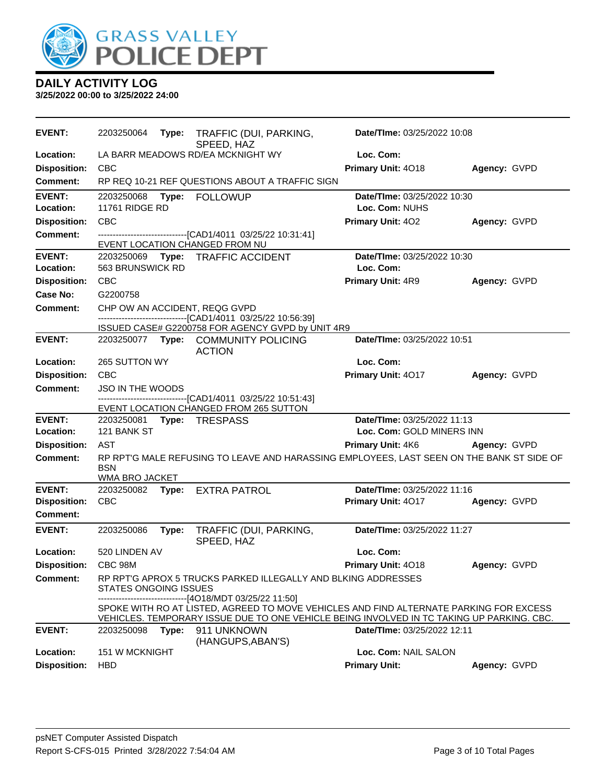

| <b>EVENT:</b>        | 2203250064                   | Type: | TRAFFIC (DUI, PARKING,<br>SPEED, HAZ                                                                                                                                                                               | Date/TIme: 03/25/2022 10:08     |              |
|----------------------|------------------------------|-------|--------------------------------------------------------------------------------------------------------------------------------------------------------------------------------------------------------------------|---------------------------------|--------------|
| Location:            |                              |       | LA BARR MEADOWS RD/EA MCKNIGHT WY                                                                                                                                                                                  | Loc. Com:                       |              |
| <b>Disposition:</b>  | <b>CBC</b>                   |       |                                                                                                                                                                                                                    | Primary Unit: 4018              | Agency: GVPD |
| Comment:             |                              |       | RP REQ 10-21 REF QUESTIONS ABOUT A TRAFFIC SIGN                                                                                                                                                                    |                                 |              |
| <b>EVENT:</b>        | 2203250068                   | Type: | <b>FOLLOWUP</b>                                                                                                                                                                                                    | Date/TIme: 03/25/2022 10:30     |              |
| Location:            | <b>11761 RIDGE RD</b>        |       |                                                                                                                                                                                                                    | Loc. Com: NUHS                  |              |
| <b>Disposition:</b>  | <b>CBC</b>                   |       |                                                                                                                                                                                                                    | Primary Unit: 402               | Agency: GVPD |
| <b>Comment:</b>      |                              |       | --------------------------[CAD1/4011_03/25/22_10:31:41]<br>EVENT LOCATION CHANGED FROM NU                                                                                                                          |                                 |              |
| <b>EVENT:</b>        |                              |       | 2203250069 Type: TRAFFIC ACCIDENT                                                                                                                                                                                  | Date/TIme: 03/25/2022 10:30     |              |
| Location:            | 563 BRUNSWICK RD             |       |                                                                                                                                                                                                                    | Loc. Com:                       |              |
| <b>Disposition:</b>  | <b>CBC</b>                   |       |                                                                                                                                                                                                                    | Primary Unit: 4R9               | Agency: GVPD |
| Case No:             | G2200758                     |       |                                                                                                                                                                                                                    |                                 |              |
| Comment:             |                              |       | CHP OW AN ACCIDENT, REQG GVPD                                                                                                                                                                                      |                                 |              |
|                      |                              |       | -------------------------------[CAD1/4011 03/25/22 10:56:39]<br>ISSUED CASE# G2200758 FOR AGENCY GVPD by UNIT 4R9                                                                                                  |                                 |              |
| <b>EVENT:</b>        |                              |       | 2203250077 Type: COMMUNITY POLICING                                                                                                                                                                                | Date/TIme: 03/25/2022 10:51     |              |
|                      |                              |       | <b>ACTION</b>                                                                                                                                                                                                      |                                 |              |
| Location:            | 265 SUTTON WY                |       |                                                                                                                                                                                                                    | Loc. Com:                       |              |
| <b>Disposition:</b>  | <b>CBC</b>                   |       |                                                                                                                                                                                                                    | Primary Unit: 4017              | Agency: GVPD |
| Comment:             | <b>JSO IN THE WOODS</b>      |       |                                                                                                                                                                                                                    |                                 |              |
|                      |                              |       | ------------------------[CAD1/4011 03/25/22 10:51:43]<br>EVENT LOCATION CHANGED FROM 265 SUTTON                                                                                                                    |                                 |              |
| <b>EVENT:</b>        | 2203250081                   |       | Type: TRESPASS                                                                                                                                                                                                     | Date/TIme: 03/25/2022 11:13     |              |
| Location:            | 121 BANK ST                  |       |                                                                                                                                                                                                                    | Loc. Com: GOLD MINERS INN       |              |
| <b>Disposition:</b>  | <b>AST</b>                   |       |                                                                                                                                                                                                                    | <b>Primary Unit: 4K6</b>        | Agency: GVPD |
| <b>Comment:</b>      | <b>BSN</b><br>WMA BRO JACKET |       | RP RPTG MALE REFUSING TO LEAVE AND HARASSING EMPLOYEES, LAST SEEN ON THE BANK ST SIDE OF                                                                                                                           |                                 |              |
| <b>EVENT:</b>        | 2203250082                   |       | Type: EXTRA PATROL                                                                                                                                                                                                 | Date/TIme: 03/25/2022 11:16     |              |
| <b>Disposition:</b>  | <b>CBC</b>                   |       |                                                                                                                                                                                                                    | Primary Unit: 4017              | Agency: GVPD |
| <b>Comment:</b>      |                              |       |                                                                                                                                                                                                                    |                                 |              |
| <b>EVENT:</b>        | 2203250086                   | Type: | TRAFFIC (DUI, PARKING,<br>SPEED, HAZ                                                                                                                                                                               | Date/TIme: 03/25/2022 11:27     |              |
| Location:            | 520 LINDEN AV                |       |                                                                                                                                                                                                                    | Loc. Com:                       |              |
| Disposition: CBC 98M |                              |       |                                                                                                                                                                                                                    | Primary Unit: 4018 Agency: GVPD |              |
| Comment:             | <b>STATES ONGOING ISSUES</b> |       | RP RPT'G APROX 5 TRUCKS PARKED ILLEGALLY AND BLKING ADDRESSES<br>------------------------------[4O18/MDT 03/25/22 11:50]<br>SPOKE WITH RO AT LISTED, AGREED TO MOVE VEHICLES AND FIND ALTERNATE PARKING FOR EXCESS |                                 |              |
|                      |                              |       | VEHICLES. TEMPORARY ISSUE DUE TO ONE VEHICLE BEING INVOLVED IN TC TAKING UP PARKING. CBC.                                                                                                                          |                                 |              |
| <b>EVENT:</b>        | 2203250098                   |       | Type: 911 UNKNOWN<br>(HANGUPS, ABAN'S)                                                                                                                                                                             | Date/TIme: 03/25/2022 12:11     |              |
| Location:            | 151 W MCKNIGHT               |       |                                                                                                                                                                                                                    | Loc. Com: NAIL SALON            |              |
| <b>Disposition:</b>  | <b>HBD</b>                   |       |                                                                                                                                                                                                                    | <b>Primary Unit:</b>            | Agency: GVPD |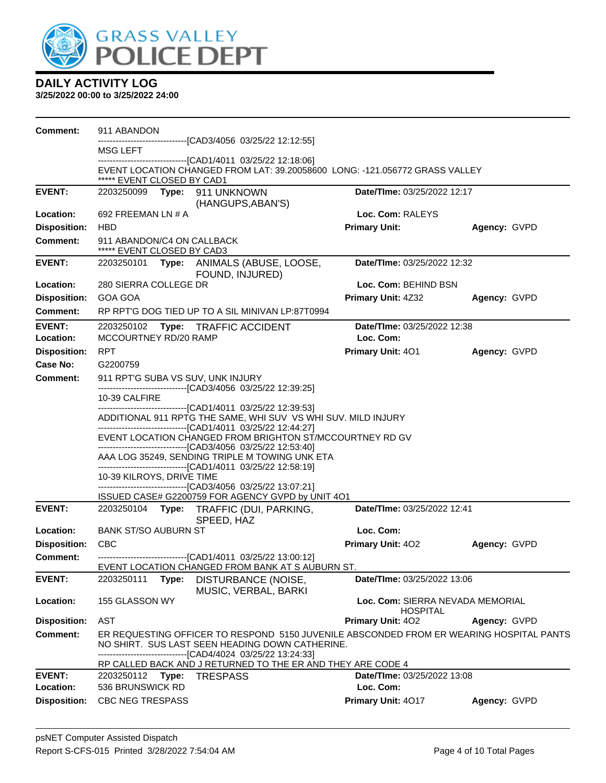

| Comment:                   | 911 ABANDON                                                                                               |                                                                                                                                                                                                            |                                                     |              |  |  |
|----------------------------|-----------------------------------------------------------------------------------------------------------|------------------------------------------------------------------------------------------------------------------------------------------------------------------------------------------------------------|-----------------------------------------------------|--------------|--|--|
|                            | MSG LEFT                                                                                                  | ------------------------------[CAD3/4056 03/25/22 12:12:55]                                                                                                                                                |                                                     |              |  |  |
|                            | ***** EVENT CLOSED BY CAD1                                                                                | -------------------------------[CAD1/4011 03/25/22 12:18:06]<br>EVENT LOCATION CHANGED FROM LAT: 39.20058600 LONG: -121.056772 GRASS VALLEY                                                                |                                                     |              |  |  |
| <b>EVENT:</b>              | 2203250099                                                                                                | Type: 911 UNKNOWN<br>(HANGUPS, ABAN'S)                                                                                                                                                                     | <b>Date/TIme: 03/25/2022 12:17</b>                  |              |  |  |
| Location:                  | 692 FREEMAN LN # A                                                                                        |                                                                                                                                                                                                            | Loc. Com: RALEYS                                    |              |  |  |
| <b>Disposition:</b>        | <b>HBD</b>                                                                                                |                                                                                                                                                                                                            | <b>Primary Unit:</b>                                | Agency: GVPD |  |  |
| <b>Comment:</b>            | 911 ABANDON/C4 ON CALLBACK<br>***** EVENT CLOSED BY CAD3                                                  |                                                                                                                                                                                                            |                                                     |              |  |  |
| <b>EVENT:</b>              |                                                                                                           | 2203250101 Type: ANIMALS (ABUSE, LOOSE,<br>FOUND, INJURED)                                                                                                                                                 | Date/TIme: 03/25/2022 12:32                         |              |  |  |
| Location:                  | 280 SIERRA COLLEGE DR                                                                                     |                                                                                                                                                                                                            | Loc. Com: BEHIND BSN                                |              |  |  |
| <b>Disposition:</b>        | GOA GOA                                                                                                   |                                                                                                                                                                                                            | <b>Primary Unit: 4Z32</b>                           | Agency: GVPD |  |  |
| Comment:                   |                                                                                                           | RP RPT'G DOG TIED UP TO A SIL MINIVAN LP:87T0994                                                                                                                                                           |                                                     |              |  |  |
| <b>EVENT:</b><br>Location: | Date/TIme: 03/25/2022 12:38<br>2203250102<br>Type: TRAFFIC ACCIDENT<br>MCCOURTNEY RD/20 RAMP<br>Loc. Com: |                                                                                                                                                                                                            |                                                     |              |  |  |
| <b>Disposition:</b>        | <b>RPT</b>                                                                                                |                                                                                                                                                                                                            | Primary Unit: 401                                   | Agency: GVPD |  |  |
| Case No:                   | G2200759                                                                                                  |                                                                                                                                                                                                            |                                                     |              |  |  |
| <b>Comment:</b>            | 911 RPT'G SUBA VS SUV, UNK INJURY                                                                         |                                                                                                                                                                                                            |                                                     |              |  |  |
|                            | 10-39 CALFIRE                                                                                             | --------------------------------[CAD3/4056 03/25/22 12:39:25]                                                                                                                                              |                                                     |              |  |  |
|                            |                                                                                                           | -------------------------------[CAD1/4011 03/25/22 12:39:53]                                                                                                                                               |                                                     |              |  |  |
|                            |                                                                                                           | ADDITIONAL 911 RPTG THE SAME, WHI SUV VS WHI SUV. MILD INJURY<br>-------------------------------[CAD1/4011 03/25/22 12:44:27]                                                                              |                                                     |              |  |  |
|                            |                                                                                                           | EVENT LOCATION CHANGED FROM BRIGHTON ST/MCCOURTNEY RD GV                                                                                                                                                   |                                                     |              |  |  |
|                            |                                                                                                           | -------------------------------[CAD3/4056 03/25/22 12:53:40]                                                                                                                                               |                                                     |              |  |  |
|                            |                                                                                                           | AAA LOG 35249, SENDING TRIPLE M TOWING UNK ETA<br>-------------------------------[CAD1/4011 03/25/22 12:58:19]                                                                                             |                                                     |              |  |  |
|                            | 10-39 KILROYS, DRIVE TIME                                                                                 |                                                                                                                                                                                                            |                                                     |              |  |  |
|                            |                                                                                                           | -------------------------------[CAD3/4056 03/25/22 13:07:21]                                                                                                                                               |                                                     |              |  |  |
| <b>EVENT:</b>              |                                                                                                           | ISSUED CASE# G2200759 FOR AGENCY GVPD by UNIT 4O1<br>2203250104 Type: TRAFFIC (DUI, PARKING,                                                                                                               | Date/TIme: 03/25/2022 12:41                         |              |  |  |
|                            |                                                                                                           | SPEED, HAZ                                                                                                                                                                                                 |                                                     |              |  |  |
| Location:                  | <b>BANK ST/SO AUBURN ST</b>                                                                               |                                                                                                                                                                                                            | Loc. Com:                                           |              |  |  |
| <b>Disposition:</b>        | <b>CBC</b>                                                                                                |                                                                                                                                                                                                            | <b>Primary Unit: 402</b>                            | Agency: GVPD |  |  |
| <b>Comment:</b>            |                                                                                                           | -------------------------------[CAD1/4011 03/25/22 13:00:12]<br>EVENT LOCATION CHANGED FROM BANK AT S AUBURN ST.                                                                                           |                                                     |              |  |  |
| <b>EVENT:</b>              | 2203250111<br>Type:                                                                                       | DISTURBANCE (NOISE,<br>MUSIC, VERBAL, BARKI                                                                                                                                                                | Date/TIme: 03/25/2022 13:06                         |              |  |  |
| Location:                  | 155 GLASSON WY                                                                                            |                                                                                                                                                                                                            | Loc. Com: SIERRA NEVADA MEMORIAL<br><b>HOSPITAL</b> |              |  |  |
| <b>Disposition:</b>        | <b>AST</b>                                                                                                |                                                                                                                                                                                                            | <b>Primary Unit: 402</b>                            | Agency: GVPD |  |  |
| <b>Comment:</b>            |                                                                                                           | ER REQUESTING OFFICER TO RESPOND 5150 JUVENILE ABSCONDED FROM ER WEARING HOSPITAL PANTS<br>NO SHIRT. SUS LAST SEEN HEADING DOWN CATHERINE.<br>-------------------------------[CAD4/4024 03/25/22 13:24:33] |                                                     |              |  |  |
|                            |                                                                                                           | RP CALLED BACK AND J RETURNED TO THE ER AND THEY ARE CODE 4                                                                                                                                                |                                                     |              |  |  |
| <b>EVENT:</b><br>Location: | 2203250112 Type: TRESPASS<br>536 BRUNSWICK RD                                                             |                                                                                                                                                                                                            | Date/TIme: 03/25/2022 13:08<br>Loc. Com:            |              |  |  |
| <b>Disposition:</b>        | <b>CBC NEG TRESPASS</b>                                                                                   |                                                                                                                                                                                                            | Primary Unit: 4017                                  | Agency: GVPD |  |  |
|                            |                                                                                                           |                                                                                                                                                                                                            |                                                     |              |  |  |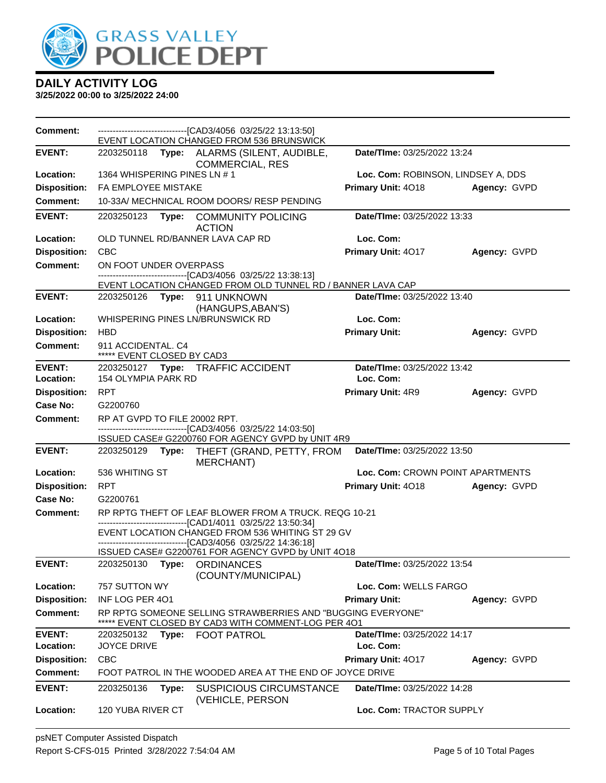

| <b>Comment:</b>     |                                                  | -------------------------------[CAD3/4056 03/25/22 13:13:50]<br>EVENT LOCATION CHANGED FROM 536 BRUNSWICK                                                     |                                    |              |
|---------------------|--------------------------------------------------|---------------------------------------------------------------------------------------------------------------------------------------------------------------|------------------------------------|--------------|
| <b>EVENT:</b>       | 2203250118                                       | Type: ALARMS (SILENT, AUDIBLE,<br><b>COMMERCIAL, RES</b>                                                                                                      | Date/TIme: 03/25/2022 13:24        |              |
| Location:           | 1364 WHISPERING PINES LN #1                      |                                                                                                                                                               | Loc. Com: ROBINSON, LINDSEY A, DDS |              |
| <b>Disposition:</b> | FA EMPLOYEE MISTAKE                              |                                                                                                                                                               | Primary Unit: 4018                 | Agency: GVPD |
| <b>Comment:</b>     |                                                  | 10-33A/ MECHNICAL ROOM DOORS/ RESP PENDING                                                                                                                    |                                    |              |
| <b>EVENT:</b>       | 2203250123<br>Type:                              | <b>COMMUNITY POLICING</b><br><b>ACTION</b>                                                                                                                    | Date/TIme: 03/25/2022 13:33        |              |
| Location:           | OLD TUNNEL RD/BANNER LAVA CAP RD                 |                                                                                                                                                               | Loc. Com:                          |              |
| <b>Disposition:</b> | <b>CBC</b>                                       |                                                                                                                                                               | Primary Unit: 4017                 | Agency: GVPD |
| Comment:            | ON FOOT UNDER OVERPASS                           |                                                                                                                                                               |                                    |              |
|                     |                                                  | -------------------------------[CAD3/4056_03/25/22 13:38:13]<br>EVENT LOCATION CHANGED FROM OLD TUNNEL RD / BANNER LAVA CAP                                   |                                    |              |
| <b>EVENT:</b>       | 2203250126 Type: 911 UNKNOWN                     |                                                                                                                                                               | Date/TIme: 03/25/2022 13:40        |              |
|                     |                                                  | (HANGUPS, ABAN'S)                                                                                                                                             |                                    |              |
| Location:           | WHISPERING PINES LN/BRUNSWICK RD                 |                                                                                                                                                               | Loc. Com:                          |              |
| <b>Disposition:</b> | <b>HBD</b>                                       |                                                                                                                                                               | <b>Primary Unit:</b>               | Agency: GVPD |
| Comment:            | 911 ACCIDENTAL, C4<br>***** EVENT CLOSED BY CAD3 |                                                                                                                                                               |                                    |              |
| <b>EVENT:</b>       |                                                  | 2203250127 Type: TRAFFIC ACCIDENT                                                                                                                             | Date/TIme: 03/25/2022 13:42        |              |
| Location:           | 154 OLYMPIA PARK RD                              |                                                                                                                                                               | Loc. Com:                          |              |
| <b>Disposition:</b> | <b>RPT</b>                                       |                                                                                                                                                               | <b>Primary Unit: 4R9</b>           | Agency: GVPD |
| Case No:            | G2200760                                         |                                                                                                                                                               |                                    |              |
| <b>Comment:</b>     | RP AT GVPD TO FILE 20002 RPT.                    | -------------------------------[CAD3/4056 03/25/22 14:03:50]                                                                                                  |                                    |              |
|                     |                                                  | ISSUED CASE# G2200760 FOR AGENCY GVPD by UNIT 4R9                                                                                                             |                                    |              |
| <b>EVENT:</b>       | 2203250129                                       | Type: THEFT (GRAND, PETTY, FROM<br><b>MERCHANT)</b>                                                                                                           | Date/TIme: 03/25/2022 13:50        |              |
| Location:           | 536 WHITING ST                                   |                                                                                                                                                               | Loc. Com: CROWN POINT APARTMENTS   |              |
| <b>Disposition:</b> | <b>RPT</b>                                       |                                                                                                                                                               | Primary Unit: 4018                 | Agency: GVPD |
| Case No:            | G2200761                                         |                                                                                                                                                               |                                    |              |
| <b>Comment:</b>     |                                                  | RP RPTG THEFT OF LEAF BLOWER FROM A TRUCK. REQG 10-21                                                                                                         |                                    |              |
|                     |                                                  | -------------------------[CAD1/4011 03/25/22 13:50:34]<br>EVENT LOCATION CHANGED FROM 536 WHITING ST 29 GV<br>------------------[CAD3/4056_03/25/22 14:36:18] |                                    |              |
|                     |                                                  | ISSUED CASE# G2200761 FOR AGENCY GVPD by UNIT 4O18                                                                                                            |                                    |              |
| <b>EVENT:</b>       | 2203250130 Type: ORDINANCES                      | (COUNTY/MUNICIPAL)                                                                                                                                            | Date/TIme: 03/25/2022 13:54        |              |
| Location:           | 757 SUTTON WY                                    |                                                                                                                                                               | Loc. Com: WELLS FARGO              |              |
| <b>Disposition:</b> | INF LOG PER 401                                  |                                                                                                                                                               | <b>Primary Unit:</b>               | Agency: GVPD |
| Comment:            |                                                  | RP RPTG SOMEONE SELLING STRAWBERRIES AND "BUGGING EVERYONE"<br>***** EVENT CLOSED BY CAD3 WITH COMMENT-LOG PER 401                                            |                                    |              |
| <b>EVENT:</b>       | 2203250132                                       | Type: FOOT PATROL                                                                                                                                             | Date/TIme: 03/25/2022 14:17        |              |
| Location:           | JOYCE DRIVE                                      |                                                                                                                                                               | Loc. Com:                          |              |
| <b>Disposition:</b> | <b>CBC</b>                                       |                                                                                                                                                               | Primary Unit: 4017                 | Agency: GVPD |
| <b>Comment:</b>     |                                                  | FOOT PATROL IN THE WOODED AREA AT THE END OF JOYCE DRIVE                                                                                                      |                                    |              |
| <b>EVENT:</b>       | 2203250136<br>Type:                              | <b>SUSPICIOUS CIRCUMSTANCE</b><br>(VEHICLE, PERSON                                                                                                            | Date/TIme: 03/25/2022 14:28        |              |
| Location:           | 120 YUBA RIVER CT                                |                                                                                                                                                               | Loc. Com: TRACTOR SUPPLY           |              |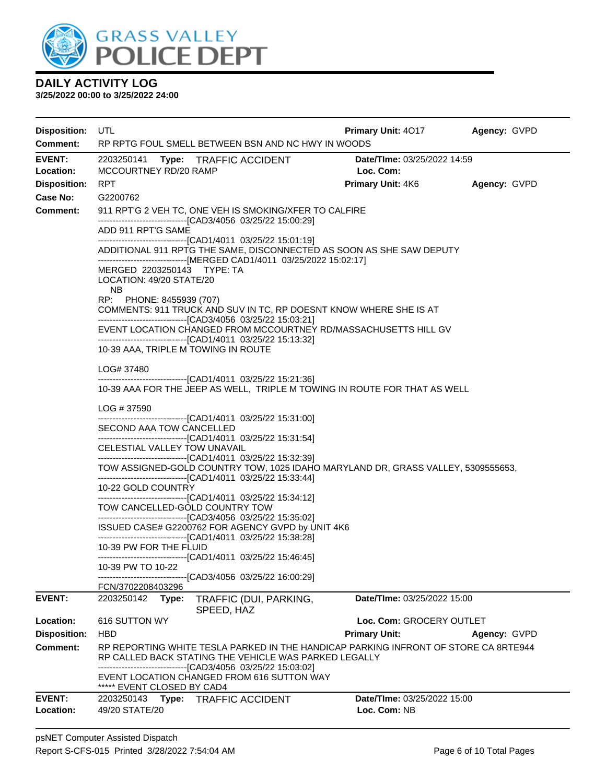

| <b>Disposition:</b><br><b>Comment:</b> | UTL<br>RP RPTG FOUL SMELL BETWEEN BSN AND NC HWY IN WOODS                                                                                                                                                                                                              | <b>Primary Unit: 4017</b>                          | Agency: GVPD |  |  |  |  |  |  |
|----------------------------------------|------------------------------------------------------------------------------------------------------------------------------------------------------------------------------------------------------------------------------------------------------------------------|----------------------------------------------------|--------------|--|--|--|--|--|--|
| <b>EVENT:</b><br>Location:             | 2203250141 Type: TRAFFIC ACCIDENT<br>MCCOURTNEY RD/20 RAMP                                                                                                                                                                                                             | Date/TIme: 03/25/2022 14:59<br>Loc. Com:           |              |  |  |  |  |  |  |
| <b>Disposition:</b>                    | <b>RPT</b>                                                                                                                                                                                                                                                             | <b>Primary Unit: 4K6</b>                           | Agency: GVPD |  |  |  |  |  |  |
| Case No:                               | G2200762                                                                                                                                                                                                                                                               |                                                    |              |  |  |  |  |  |  |
| Comment:                               | 911 RPT'G 2 VEH TC, ONE VEH IS SMOKING/XFER TO CALFIRE<br>-------------------------------[CAD3/4056 03/25/22 15:00:29]<br>ADD 911 RPT'G SAME                                                                                                                           |                                                    |              |  |  |  |  |  |  |
|                                        | -------------------------------[CAD1/4011 03/25/22 15:01:19]<br>ADDITIONAL 911 RPTG THE SAME, DISCONNECTED AS SOON AS SHE SAW DEPUTY<br>------------------------------[MERGED CAD1/4011 03/25/2022 15:02:17]<br>MERGED 2203250143 TYPE: TA<br>LOCATION: 49/20 STATE/20 |                                                    |              |  |  |  |  |  |  |
|                                        | <b>NB</b><br>RP: PHONE: 8455939 (707)<br>COMMENTS: 911 TRUCK AND SUV IN TC, RP DOESNT KNOW WHERE SHE IS AT                                                                                                                                                             |                                                    |              |  |  |  |  |  |  |
|                                        | --------------------------------[CAD3/4056 03/25/22 15:03:21]<br>EVENT LOCATION CHANGED FROM MCCOURTNEY RD/MASSACHUSETTS HILL GV<br>----------------------------------[CAD1/4011 03/25/22 15:13:32]<br>10-39 AAA, TRIPLE M TOWING IN ROUTE                             |                                                    |              |  |  |  |  |  |  |
|                                        | LOG# 37480                                                                                                                                                                                                                                                             |                                                    |              |  |  |  |  |  |  |
|                                        | --------------------------------[CAD1/4011 03/25/22 15:21:36]<br>10-39 AAA FOR THE JEEP AS WELL, TRIPLE M TOWING IN ROUTE FOR THAT AS WELL                                                                                                                             |                                                    |              |  |  |  |  |  |  |
|                                        | LOG #37590<br>-------------------------------[CAD1/4011 03/25/22 15:31:00]                                                                                                                                                                                             |                                                    |              |  |  |  |  |  |  |
|                                        | SECOND AAA TOW CANCELLED<br>--------------------------------[CAD1/4011 03/25/22 15:31:54]                                                                                                                                                                              |                                                    |              |  |  |  |  |  |  |
|                                        | CELESTIAL VALLEY TOW UNAVAIL                                                                                                                                                                                                                                           |                                                    |              |  |  |  |  |  |  |
|                                        | -----------------------------------[CAD1/4011 03/25/22 15:32:39]<br>TOW ASSIGNED-GOLD COUNTRY TOW, 1025 IDAHO MARYLAND DR, GRASS VALLEY, 5309555653,<br>-------------------------------[CAD1/4011 03/25/22 15:33:44]                                                   |                                                    |              |  |  |  |  |  |  |
|                                        | 10-22 GOLD COUNTRY<br>--------------------------------[CAD1/4011 03/25/22 15:34:12]                                                                                                                                                                                    |                                                    |              |  |  |  |  |  |  |
|                                        | TOW CANCELLED-GOLD COUNTRY TOW<br>---------------------------------[CAD3/4056 03/25/22 15:35:02]                                                                                                                                                                       |                                                    |              |  |  |  |  |  |  |
|                                        | ISSUED CASE# G2200762 FOR AGENCY GVPD by UNIT 4K6<br>-------------------------------[CAD1/4011 03/25/22 15:38:28]                                                                                                                                                      |                                                    |              |  |  |  |  |  |  |
|                                        | 10-39 PW FOR THE FLUID<br>-------------------------------[CAD1/4011 03/25/22 15:46:45]                                                                                                                                                                                 |                                                    |              |  |  |  |  |  |  |
|                                        | 10-39 PW TO 10-22<br>-------------------------------[CAD3/4056_03/25/22 16:00:29]<br>FCN/3702208403296                                                                                                                                                                 |                                                    |              |  |  |  |  |  |  |
| <b>EVENT:</b>                          | 2203250142<br>TRAFFIC (DUI, PARKING,<br>Type:<br>SPEED, HAZ                                                                                                                                                                                                            | Date/TIme: 03/25/2022 15:00                        |              |  |  |  |  |  |  |
| Location:                              | 616 SUTTON WY                                                                                                                                                                                                                                                          | Loc. Com: GROCERY OUTLET                           |              |  |  |  |  |  |  |
| <b>Disposition:</b>                    | <b>HBD</b>                                                                                                                                                                                                                                                             | <b>Primary Unit:</b>                               | Agency: GVPD |  |  |  |  |  |  |
| Comment:                               | RP REPORTING WHITE TESLA PARKED IN THE HANDICAP PARKING INFRONT OF STORE CA 8RTE944<br>RP CALLED BACK STATING THE VEHICLE WAS PARKED LEGALLY                                                                                                                           |                                                    |              |  |  |  |  |  |  |
|                                        | EVENT LOCATION CHANGED FROM 616 SUTTON WAY<br>***** EVENT CLOSED BY CAD4                                                                                                                                                                                               |                                                    |              |  |  |  |  |  |  |
| <b>EVENT:</b><br>Location:             | <b>TRAFFIC ACCIDENT</b><br>2203250143<br>Type:<br>49/20 STATE/20                                                                                                                                                                                                       | <b>Date/Time: 03/25/2022 15:00</b><br>Loc. Com: NB |              |  |  |  |  |  |  |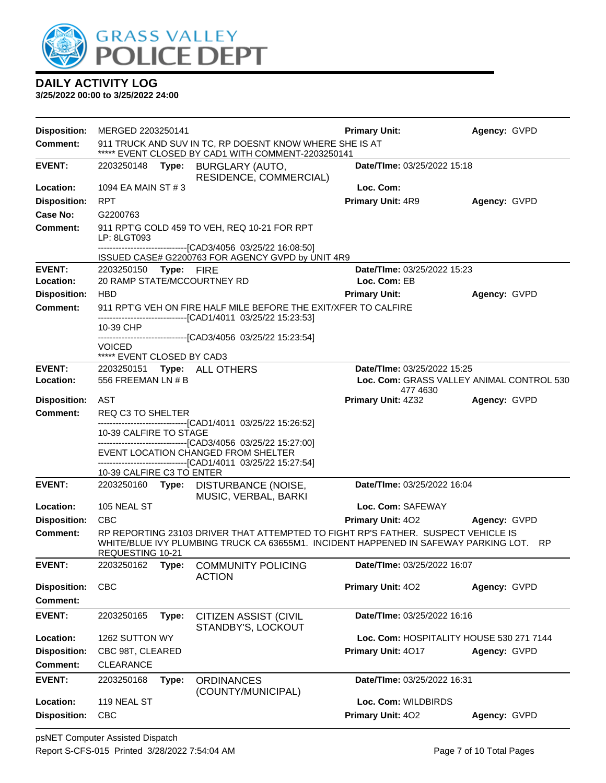

| <b>Disposition:</b> | MERGED 2203250141                                                                                             |       |                                                                                                                                                                             | <b>Primary Unit:</b>                     | Agency: GVPD                              |  |
|---------------------|---------------------------------------------------------------------------------------------------------------|-------|-----------------------------------------------------------------------------------------------------------------------------------------------------------------------------|------------------------------------------|-------------------------------------------|--|
| <b>Comment:</b>     | 911 TRUCK AND SUV IN TC, RP DOESNT KNOW WHERE SHE IS AT<br>***** EVENT CLOSED BY CAD1 WITH COMMENT-2203250141 |       |                                                                                                                                                                             |                                          |                                           |  |
| <b>EVENT:</b>       | 2203250148 Type:                                                                                              |       | BURGLARY (AUTO,<br>RESIDENCE, COMMERCIAL)                                                                                                                                   | Date/TIme: 03/25/2022 15:18              |                                           |  |
| Location:           | 1094 EA MAIN ST # 3                                                                                           |       |                                                                                                                                                                             | Loc. Com:                                |                                           |  |
| <b>Disposition:</b> | <b>RPT</b>                                                                                                    |       |                                                                                                                                                                             | Primary Unit: 4R9                        | Agency: GVPD                              |  |
| Case No:            | G2200763                                                                                                      |       |                                                                                                                                                                             |                                          |                                           |  |
| Comment:            | LP: 8LGT093                                                                                                   |       | 911 RPT'G COLD 459 TO VEH, REQ 10-21 FOR RPT                                                                                                                                |                                          |                                           |  |
|                     |                                                                                                               |       | -------------------------------[CAD3/4056 03/25/22 16:08:50]<br>ISSUED CASE# G2200763 FOR AGENCY GVPD by UNIT 4R9                                                           |                                          |                                           |  |
| <b>EVENT:</b>       | 2203250150 Type: FIRE                                                                                         |       |                                                                                                                                                                             | Date/TIme: 03/25/2022 15:23              |                                           |  |
| Location:           | 20 RAMP STATE/MCCOURTNEY RD                                                                                   |       |                                                                                                                                                                             | Loc. Com: EB                             |                                           |  |
| <b>Disposition:</b> | <b>HBD</b>                                                                                                    |       |                                                                                                                                                                             | <b>Primary Unit:</b>                     | Agency: GVPD                              |  |
| <b>Comment:</b>     |                                                                                                               |       | 911 RPT'G VEH ON FIRE HALF MILE BEFORE THE EXIT/XFER TO CALFIRE<br>-------------------------------[CAD1/4011 03/25/22 15:23:53]                                             |                                          |                                           |  |
|                     | 10-39 CHP                                                                                                     |       | -------------------[CAD3/4056 03/25/22 15:23:54]                                                                                                                            |                                          |                                           |  |
|                     | <b>VOICED</b><br>***** EVENT CLOSED BY CAD3                                                                   |       |                                                                                                                                                                             |                                          |                                           |  |
| <b>EVENT:</b>       |                                                                                                               |       | 2203250151 Type: ALL OTHERS                                                                                                                                                 | Date/TIme: 03/25/2022 15:25              |                                           |  |
| Location:           | 556 FREEMAN LN # B                                                                                            |       |                                                                                                                                                                             | 477 4630                                 | Loc. Com: GRASS VALLEY ANIMAL CONTROL 530 |  |
| <b>Disposition:</b> | AST                                                                                                           |       |                                                                                                                                                                             | Primary Unit: 4Z32                       | Agency: GVPD                              |  |
| <b>Comment:</b>     | REQ C3 TO SHELTER                                                                                             |       |                                                                                                                                                                             |                                          |                                           |  |
|                     | 10-39 CALFIRE TO STAGE                                                                                        |       | -------------------------------[CAD1/4011 03/25/22 15:26:52]                                                                                                                |                                          |                                           |  |
|                     |                                                                                                               |       | -------------------------------[CAD3/4056_03/25/22 15:27:00]<br>EVENT LOCATION CHANGED FROM SHELTER                                                                         |                                          |                                           |  |
|                     | 10-39 CALFIRE C3 TO ENTER                                                                                     |       | -------------------------------[CAD1/4011 03/25/22 15:27:54]                                                                                                                |                                          |                                           |  |
| <b>EVENT:</b>       |                                                                                                               |       | 2203250160 Type: DISTURBANCE (NOISE,<br>MUSIC, VERBAL, BARKI                                                                                                                | Date/TIme: 03/25/2022 16:04              |                                           |  |
| Location:           | 105 NEAL ST                                                                                                   |       |                                                                                                                                                                             | Loc. Com: SAFEWAY                        |                                           |  |
| <b>Disposition:</b> | <b>CBC</b>                                                                                                    |       |                                                                                                                                                                             | <b>Primary Unit: 402</b>                 | Agency: GVPD                              |  |
| <b>Comment:</b>     | REQUESTING 10-21                                                                                              |       | RP REPORTING 23103 DRIVER THAT ATTEMPTED TO FIGHT RP'S FATHER. SUSPECT VEHICLE IS<br>WHITE/BLUE IVY PLUMBING TRUCK CA 63655M1. INCIDENT HAPPENED IN SAFEWAY PARKING LOT. RP |                                          |                                           |  |
| <b>EVENT:</b>       | 2203250162                                                                                                    | Type: | <b>COMMUNITY POLICING</b><br><b>ACTION</b>                                                                                                                                  | Date/TIme: 03/25/2022 16:07              |                                           |  |
| <b>Disposition:</b> | <b>CBC</b>                                                                                                    |       |                                                                                                                                                                             | Primary Unit: 402                        | Agency: GVPD                              |  |
| Comment:            |                                                                                                               |       |                                                                                                                                                                             |                                          |                                           |  |
| <b>EVENT:</b>       | 2203250165                                                                                                    | Type: | CITIZEN ASSIST (CIVIL<br>STANDBY'S, LOCKOUT                                                                                                                                 | Date/TIme: 03/25/2022 16:16              |                                           |  |
| Location:           | 1262 SUTTON WY                                                                                                |       |                                                                                                                                                                             | Loc. Com: HOSPITALITY HOUSE 530 271 7144 |                                           |  |
| <b>Disposition:</b> | CBC 98T, CLEARED                                                                                              |       |                                                                                                                                                                             | Primary Unit: 4017                       | Agency: GVPD                              |  |
| <b>Comment:</b>     | <b>CLEARANCE</b>                                                                                              |       |                                                                                                                                                                             |                                          |                                           |  |
| <b>EVENT:</b>       | 2203250168                                                                                                    | Type: | <b>ORDINANCES</b><br>(COUNTY/MUNICIPAL)                                                                                                                                     | Date/TIme: 03/25/2022 16:31              |                                           |  |
| Location:           | 119 NEAL ST                                                                                                   |       |                                                                                                                                                                             | Loc. Com: WILDBIRDS                      |                                           |  |
| <b>Disposition:</b> | CBC                                                                                                           |       |                                                                                                                                                                             | Primary Unit: 402                        | Agency: GVPD                              |  |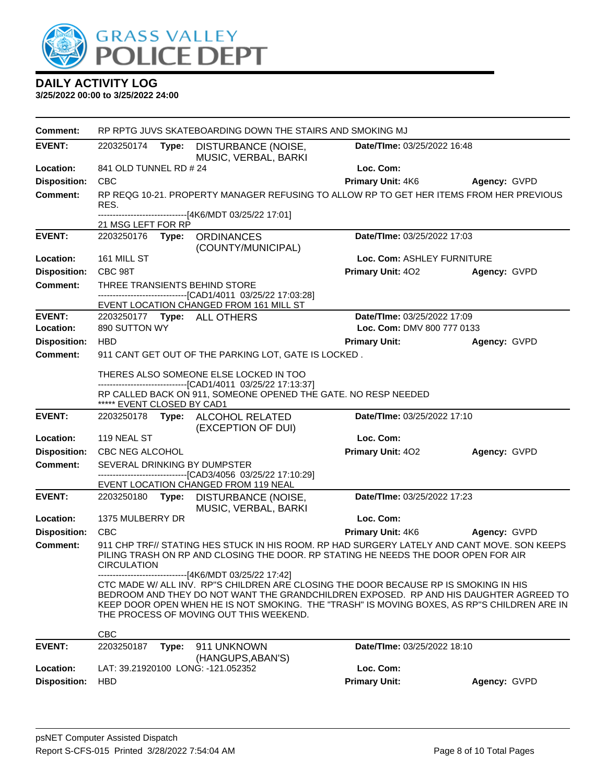

| <b>Comment:</b>     | RP RPTG JUVS SKATEBOARDING DOWN THE STAIRS AND SMOKING MJ                                  |       |                                                                                                                                      |                                                                                                                                                                                                                                                                              |              |  |
|---------------------|--------------------------------------------------------------------------------------------|-------|--------------------------------------------------------------------------------------------------------------------------------------|------------------------------------------------------------------------------------------------------------------------------------------------------------------------------------------------------------------------------------------------------------------------------|--------------|--|
| <b>EVENT:</b>       | 2203250174                                                                                 | Type: | DISTURBANCE (NOISE,<br>MUSIC, VERBAL, BARKI                                                                                          | Date/TIme: 03/25/2022 16:48                                                                                                                                                                                                                                                  |              |  |
| Location:           | 841 OLD TUNNEL RD # 24                                                                     |       |                                                                                                                                      | Loc. Com:                                                                                                                                                                                                                                                                    |              |  |
| <b>Disposition:</b> | <b>CBC</b>                                                                                 |       |                                                                                                                                      | <b>Primary Unit: 4K6</b>                                                                                                                                                                                                                                                     | Agency: GVPD |  |
| <b>Comment:</b>     | RES.                                                                                       |       |                                                                                                                                      | RP REQG 10-21. PROPERTY MANAGER REFUSING TO ALLOW RP TO GET HER ITEMS FROM HER PREVIOUS                                                                                                                                                                                      |              |  |
|                     | 21 MSG LEFT FOR RP                                                                         |       | -------------------------------[4K6/MDT 03/25/22 17:01]                                                                              |                                                                                                                                                                                                                                                                              |              |  |
| <b>EVENT:</b>       | <b>ORDINANCES</b><br>Date/TIme: 03/25/2022 17:03<br>2203250176 Type:<br>(COUNTY/MUNICIPAL) |       |                                                                                                                                      |                                                                                                                                                                                                                                                                              |              |  |
| Location:           | 161 MILL ST                                                                                |       |                                                                                                                                      | Loc. Com: ASHLEY FURNITURE                                                                                                                                                                                                                                                   |              |  |
| <b>Disposition:</b> | CBC 98T                                                                                    |       |                                                                                                                                      | <b>Primary Unit: 402</b>                                                                                                                                                                                                                                                     | Agency: GVPD |  |
| <b>Comment:</b>     |                                                                                            |       | THREE TRANSIENTS BEHIND STORE<br>------------------------[CAD1/4011 03/25/22 17:03:28]<br>EVENT LOCATION CHANGED FROM 161 MILL ST    |                                                                                                                                                                                                                                                                              |              |  |
| <b>EVENT:</b>       |                                                                                            |       | 2203250177    Type: ALL OTHERS                                                                                                       | Date/TIme: 03/25/2022 17:09                                                                                                                                                                                                                                                  |              |  |
| Location:           | 890 SUTTON WY                                                                              |       |                                                                                                                                      | Loc. Com: DMV 800 777 0133                                                                                                                                                                                                                                                   |              |  |
| <b>Disposition:</b> | <b>HBD</b>                                                                                 |       |                                                                                                                                      | <b>Primary Unit:</b>                                                                                                                                                                                                                                                         | Agency: GVPD |  |
| <b>Comment:</b>     |                                                                                            |       | 911 CANT GET OUT OF THE PARKING LOT, GATE IS LOCKED.                                                                                 |                                                                                                                                                                                                                                                                              |              |  |
|                     | THERES ALSO SOMEONE ELSE LOCKED IN TOO                                                     |       |                                                                                                                                      |                                                                                                                                                                                                                                                                              |              |  |
|                     | ***** EVENT CLOSED BY CAD1                                                                 |       | -------------------------------[CAD1/4011 03/25/22 17:13:37]<br>RP CALLED BACK ON 911, SOMEONE OPENED THE GATE. NO RESP NEEDED       |                                                                                                                                                                                                                                                                              |              |  |
| <b>EVENT:</b>       | Date/TIme: 03/25/2022 17:10<br>2203250178 Type: ALCOHOL RELATED<br>(EXCEPTION OF DUI)      |       |                                                                                                                                      |                                                                                                                                                                                                                                                                              |              |  |
| Location:           | 119 NEAL ST                                                                                |       |                                                                                                                                      | Loc. Com:                                                                                                                                                                                                                                                                    |              |  |
| <b>Disposition:</b> | CBC NEG ALCOHOL                                                                            |       |                                                                                                                                      | Primary Unit: 402                                                                                                                                                                                                                                                            | Agency: GVPD |  |
| Comment:            |                                                                                            |       | SEVERAL DRINKING BY DUMPSTER<br>-------------------------------[CAD3/4056 03/25/22 17:10:29]<br>EVENT LOCATION CHANGED FROM 119 NEAL |                                                                                                                                                                                                                                                                              |              |  |
| <b>EVENT:</b>       | 2203250180                                                                                 |       | Type: DISTURBANCE (NOISE,<br>MUSIC, VERBAL, BARKI                                                                                    | Date/TIme: 03/25/2022 17:23                                                                                                                                                                                                                                                  |              |  |
| Location:           | 1375 MULBERRY DR                                                                           |       |                                                                                                                                      | Loc. Com:                                                                                                                                                                                                                                                                    |              |  |
| <b>Disposition:</b> | <b>CBC</b>                                                                                 |       |                                                                                                                                      | Primary Unit: 4K6                                                                                                                                                                                                                                                            | Agency: GVPD |  |
| <b>Comment:</b>     | <b>CIRCULATION</b>                                                                         |       |                                                                                                                                      | 911 CHP TRF// STATING HES STUCK IN HIS ROOM. RP HAD SURGERY LATELY AND CANT MOVE. SON KEEPS<br>PILING TRASH ON RP AND CLOSING THE DOOR. RP STATING HE NEEDS THE DOOR OPEN FOR AIR                                                                                            |              |  |
|                     |                                                                                            |       | -------------------------------[4K6/MDT 03/25/22 17:42]<br>THE PROCESS OF MOVING OUT THIS WEEKEND.                                   | CTC MADE W/ ALL INV. RP"S CHILDREN ARE CLOSING THE DOOR BECAUSE RP IS SMOKING IN HIS<br>BEDROOM AND THEY DO NOT WANT THE GRANDCHILDREN EXPOSED. RP AND HIS DAUGHTER AGREED TO<br>KEEP DOOR OPEN WHEN HE IS NOT SMOKING. THE "TRASH" IS MOVING BOXES, AS RP"S CHILDREN ARE IN |              |  |
|                     | <b>CBC</b>                                                                                 |       |                                                                                                                                      |                                                                                                                                                                                                                                                                              |              |  |
| <b>EVENT:</b>       | 2203250187                                                                                 | Type: | 911 UNKNOWN<br>(HANGUPS, ABAN'S)                                                                                                     | Date/TIme: 03/25/2022 18:10                                                                                                                                                                                                                                                  |              |  |
| Location:           |                                                                                            |       | LAT: 39.21920100 LONG: -121.052352                                                                                                   | Loc. Com:                                                                                                                                                                                                                                                                    |              |  |
| <b>Disposition:</b> | <b>HBD</b>                                                                                 |       |                                                                                                                                      | <b>Primary Unit:</b>                                                                                                                                                                                                                                                         | Agency: GVPD |  |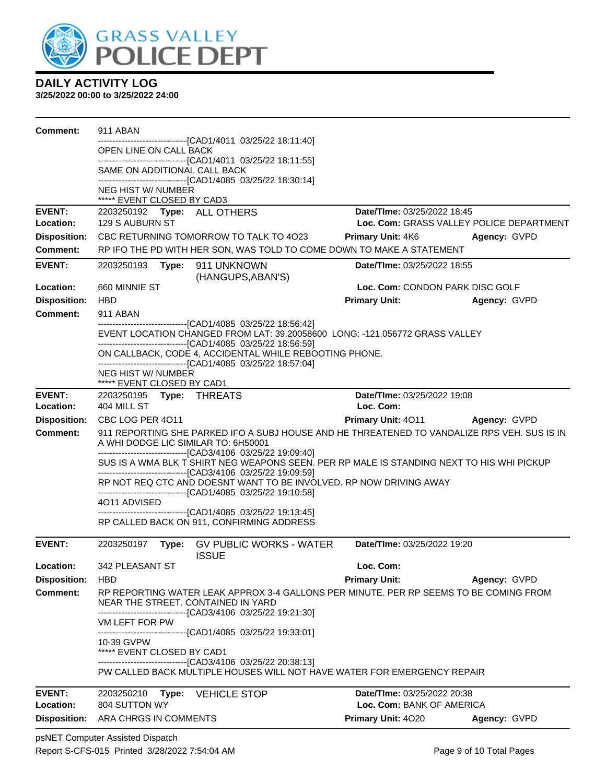

#### **3/25/2022 00:00 to 3/25/2022 24:00**

| Comment:            | 911 ABAN                                                |                                                                                                                                                                                            |                                          |              |
|---------------------|---------------------------------------------------------|--------------------------------------------------------------------------------------------------------------------------------------------------------------------------------------------|------------------------------------------|--------------|
|                     | OPEN LINE ON CALL BACK                                  | ---------------------------[CAD1/4011_03/25/22 18:11:40]                                                                                                                                   |                                          |              |
|                     |                                                         | -------------------------------[CAD1/4011 03/25/22 18:11:55]                                                                                                                               |                                          |              |
|                     | SAME ON ADDITIONAL CALL BACK                            | -------------------------------[CAD1/4085 03/25/22 18:30:14]                                                                                                                               |                                          |              |
|                     | NEG HIST W/ NUMBER<br>***** EVENT CLOSED BY CAD3        |                                                                                                                                                                                            |                                          |              |
| <b>EVENT:</b>       | 2203250192 Type: ALL OTHERS                             |                                                                                                                                                                                            | Date/TIme: 03/25/2022 18:45              |              |
| Location:           | 129 S AUBURN ST                                         |                                                                                                                                                                                            | Loc. Com: GRASS VALLEY POLICE DEPARTMENT |              |
| <b>Disposition:</b> |                                                         | CBC RETURNING TOMORROW TO TALK TO 4023                                                                                                                                                     | <b>Primary Unit: 4K6</b>                 | Agency: GVPD |
| <b>Comment:</b>     |                                                         | RP IFO THE PD WITH HER SON, WAS TOLD TO COME DOWN TO MAKE A STATEMENT                                                                                                                      |                                          |              |
| <b>EVENT:</b>       | 2203250193                                              | Type: 911 UNKNOWN<br>(HANGUPS, ABAN'S)                                                                                                                                                     | Date/TIme: 03/25/2022 18:55              |              |
| Location:           | 660 MINNIE ST                                           |                                                                                                                                                                                            | Loc. Com: CONDON PARK DISC GOLF          |              |
| <b>Disposition:</b> | <b>HBD</b>                                              |                                                                                                                                                                                            | <b>Primary Unit:</b>                     | Agency: GVPD |
| <b>Comment:</b>     | 911 ABAN                                                |                                                                                                                                                                                            |                                          |              |
|                     |                                                         | --------------------------------[CAD1/4085 03/25/22 18:56:42]<br>EVENT LOCATION CHANGED FROM LAT: 39.20058600 LONG: -121.056772 GRASS VALLEY                                               |                                          |              |
|                     |                                                         | -----------------------------------[CAD1/4085 03/25/22 18:56:59]<br>ON CALLBACK, CODE 4, ACCIDENTAL WHILE REBOOTING PHONE.<br>-------------------------------[CAD1/4085 03/25/22 18:57:04] |                                          |              |
|                     | <b>NEG HIST W/ NUMBER</b><br>***** EVENT CLOSED BY CAD1 |                                                                                                                                                                                            |                                          |              |
| <b>EVENT:</b>       | 2203250195 Type: THREATS                                |                                                                                                                                                                                            | Date/TIme: 03/25/2022 19:08              |              |
| Location:           | 404 MILL ST                                             |                                                                                                                                                                                            | Loc. Com:                                |              |
| <b>Disposition:</b> | CBC LOG PER 4011                                        |                                                                                                                                                                                            | <b>Primary Unit: 4011</b>                | Agency: GVPD |
| <b>Comment:</b>     | A WHI DODGE LIC SIMILAR TO: 6H50001                     | 911 REPORTING SHE PARKED IFO A SUBJ HOUSE AND HE THREATENED TO VANDALIZE RPS VEH. SUS IS IN                                                                                                |                                          |              |
|                     |                                                         | -------------------------------[CAD3/4106 03/25/22 19:09:40]                                                                                                                               |                                          |              |
|                     |                                                         | SUS IS A WMA BLK T SHIRT NEG WEAPONS SEEN. PER RP MALE IS STANDING NEXT TO HIS WHI PICKUP                                                                                                  |                                          |              |
|                     |                                                         | -------------------------------[CAD3/4106 03/25/22 19:09:59]<br>RP NOT REQ CTC AND DOESNT WANT TO BE INVOLVED. RP NOW DRIVING AWAY                                                         |                                          |              |
|                     |                                                         | --------------------------------[CAD1/4085 03/25/22 19:10:58]                                                                                                                              |                                          |              |
|                     | 4011 ADVISED                                            | -------------------------------[CAD1/4085 03/25/22 19:13:45]                                                                                                                               |                                          |              |
|                     |                                                         | RP CALLED BACK ON 911, CONFIRMING ADDRESS                                                                                                                                                  |                                          |              |
| <b>EVENT:</b>       |                                                         | 2203250197 Type: GV PUBLIC WORKS - WATER<br><b>ISSUE</b>                                                                                                                                   | Date/TIme: 03/25/2022 19:20              |              |
| <b>Location:</b>    | 342 PLEASANT ST                                         |                                                                                                                                                                                            | Loc. Com:                                |              |
| <b>Disposition:</b> | <b>HBD</b>                                              |                                                                                                                                                                                            | <b>Primary Unit:</b>                     | Agency: GVPD |
| <b>Comment:</b>     |                                                         | RP REPORTING WATER LEAK APPROX 3-4 GALLONS PER MINUTE. PER RP SEEMS TO BE COMING FROM<br>NEAR THE STREET. CONTAINED IN YARD                                                                |                                          |              |
|                     | VM LEFT FOR PW                                          | ---------------------------[CAD3/4106 03/25/22 19:21:30]                                                                                                                                   |                                          |              |
|                     | 10-39 GVPW<br>***** EVENT CLOSED BY CAD1                | -------------------------------[CAD1/4085 03/25/22 19:33:01]                                                                                                                               |                                          |              |
|                     |                                                         | --------------------------------[CAD3/4106 03/25/22 20:38:13]<br>PW CALLED BACK MULTIPLE HOUSES WILL NOT HAVE WATER FOR EMERGENCY REPAIR                                                   |                                          |              |
| <b>EVENT:</b>       | 2203250210                                              | Type: VEHICLE STOP                                                                                                                                                                         | Date/TIme: 03/25/2022 20:38              |              |
| Location:           | 804 SUTTON WY                                           |                                                                                                                                                                                            | Loc. Com: BANK OF AMERICA                |              |
| <b>Disposition:</b> | ARA CHRGS IN COMMENTS                                   |                                                                                                                                                                                            | Primary Unit: 4020                       | Agency: GVPD |

psNET Computer Assisted Dispatch Report S-CFS-015 Printed 3/28/2022 7:54:04 AM Page 9 of 10 Total Pages